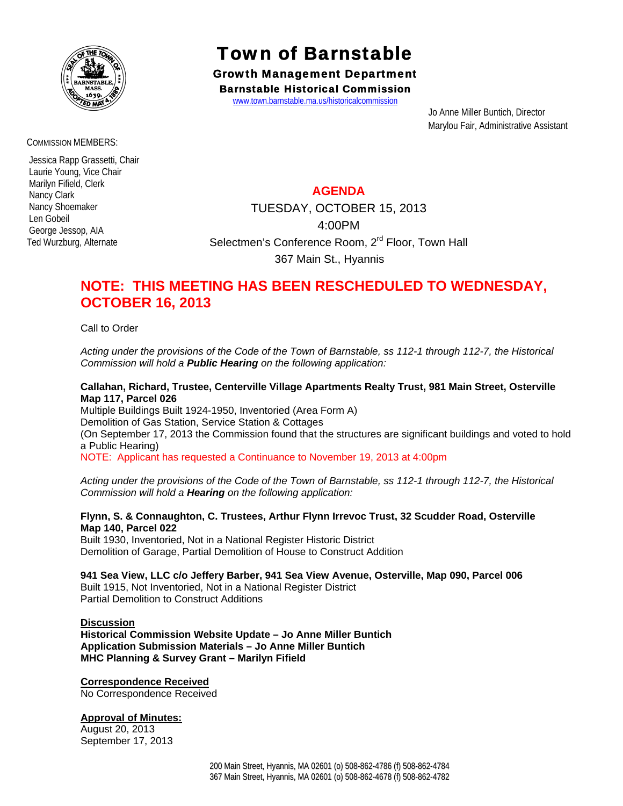

#### COMMISSION MEMBERS:

 Jessica Rapp Grassetti, Chair Laurie Young, Vice Chair Marilyn Fifield, Clerk Nancy Clark Nancy Shoemaker Len Gobeil George Jessop, AIA Ted Wurzburg, Alternate

# Town of Barnstable

Growth Management Department Barnstable Historical Commission

www.town.barnstable.ma.us/historicalcommission

 Jo Anne Miller Buntich, Director Marylou Fair, Administrative Assistant

### **AGENDA**

TUESDAY, OCTOBER 15, 2013 4:00PM Selectmen's Conference Room, 2<sup>rd</sup> Floor, Town Hall 367 Main St., Hyannis

## **NOTE: THIS MEETING HAS BEEN RESCHEDULED TO WEDNESDAY, OCTOBER 16, 2013**

Call to Order

*Acting under the provisions of the Code of the Town of Barnstable, ss 112-1 through 112-7, the Historical Commission will hold a Public Hearing on the following application:* 

#### **Callahan, Richard, Trustee, Centerville Village Apartments Realty Trust, 981 Main Street, Osterville Map 117, Parcel 026**

Multiple Buildings Built 1924-1950, Inventoried (Area Form A) Demolition of Gas Station, Service Station & Cottages (On September 17, 2013 the Commission found that the structures are significant buildings and voted to hold a Public Hearing) NOTE: Applicant has requested a Continuance to November 19, 2013 at 4:00pm

*Acting under the provisions of the Code of the Town of Barnstable, ss 112-1 through 112-7, the Historical Commission will hold a Hearing on the following application:* 

#### **Flynn, S. & Connaughton, C. Trustees, Arthur Flynn Irrevoc Trust, 32 Scudder Road, Osterville Map 140, Parcel 022**

Built 1930, Inventoried, Not in a National Register Historic District Demolition of Garage, Partial Demolition of House to Construct Addition

**941 Sea View, LLC c/o Jeffery Barber, 941 Sea View Avenue, Osterville, Map 090, Parcel 006**  Built 1915, Not Inventoried, Not in a National Register District Partial Demolition to Construct Additions

#### **Discussion**

**Historical Commission Website Update – Jo Anne Miller Buntich Application Submission Materials – Jo Anne Miller Buntich MHC Planning & Survey Grant – Marilyn Fifield** 

#### **Correspondence Received**

No Correspondence Received

#### **Approval of Minutes:**

August 20, 2013 September 17, 2013

> 200 Main Street, Hyannis, MA 02601 (o) 508-862-4786 (f) 508-862-4784 367 Main Street, Hyannis, MA 02601 (o) 508-862-4678 (f) 508-862-4782